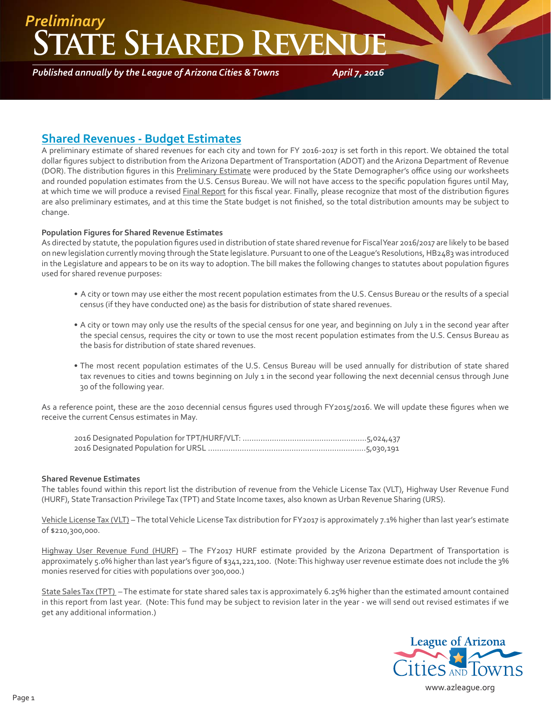### **ATE SHARED REVEN** *Preliminary*

*Published annually by the League of Arizona Cities & Towns*

*April 7, 2016*

### **Shared Revenues - Budget Estimates**

A preliminary estimate of shared revenues for each city and town for FY 2016-2017 is set forth in this report. We obtained the total dollar figures subject to distribution from the Arizona Department of Transportation (ADOT) and the Arizona Department of Revenue (DOR). The distribution figures in this Preliminary Estimate were produced by the State Demographer's office using our worksheets and rounded population estimates from the U.S. Census Bureau. We will not have access to the specific population figures until May, at which time we will produce a revised Final Report for this fiscal year. Finally, please recognize that most of the distribution figures are also preliminary estimates, and at this time the State budget is not finished, so the total distribution amounts may be subject to change.

#### **Population Figures for Shared Revenue Estimates**

As directed by statute, the population figures used in distribution of state shared revenue for Fiscal Year 2016/2017 are likely to be based on new legislation currently moving through the State legislature. Pursuant to one of the League's Resolutions, HB2483 was introduced in the Legislature and appears to be on its way to adoption. The bill makes the following changes to statutes about population figures used for shared revenue purposes:

- A city or town may use either the most recent population estimates from the U.S. Census Bureau or the results of a special census (if they have conducted one) as the basis for distribution of state shared revenues.
- A city or town may only use the results of the special census for one year, and beginning on July 1 in the second year after the special census, requires the city or town to use the most recent population estimates from the U.S. Census Bureau as the basis for distribution of state shared revenues.
- The most recent population estimates of the U.S. Census Bureau will be used annually for distribution of state shared tax revenues to cities and towns beginning on July 1 in the second year following the next decennial census through June 30 of the following year.

As a reference point, these are the 2010 decennial census figures used through FY2015/2016. We will update these figures when we receive the current Census estimates in May.

#### **Shared Revenue Estimates**

The tables found within this report list the distribution of revenue from the Vehicle License Tax (VLT), Highway User Revenue Fund (HURF), State Transaction Privilege Tax (TPT) and State Income taxes, also known as Urban Revenue Sharing (URS).

Vehicle License Tax (VLT) – The total Vehicle License Tax distribution for FY2017 is approximately 7.1% higher than last year's estimate of \$210,300,000.

Highway User Revenue Fund (HURF) – The FY2017 HURF estimate provided by the Arizona Department of Transportation is approximately 5.0% higher than last year's figure of \$341,221,100. (Note: This highway user revenue estimate does not include the 3% monies reserved for cities with populations over 300,000.)

State Sales Tax (TPT) – The estimate for state shared sales tax is approximately 6.25% higher than the estimated amount contained in this report from last year. (Note: This fund may be subject to revision later in the year - we will send out revised estimates if we get any additional information.)



www.azleague.org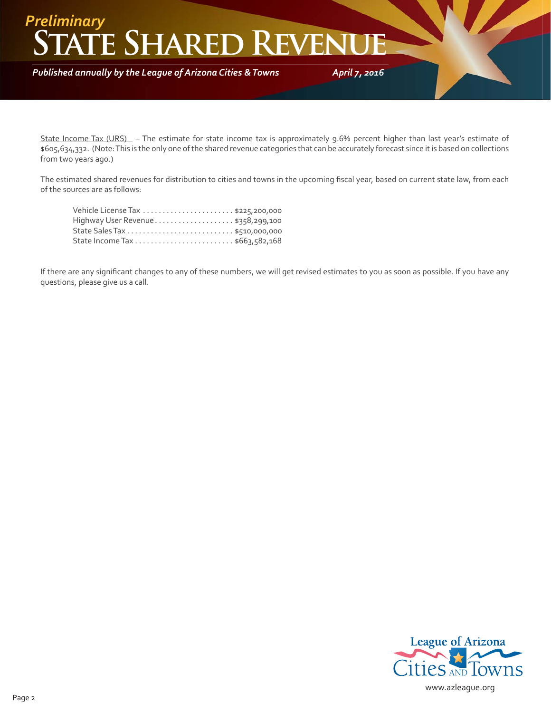## **ATE SHARED REVEN** *Preliminary*

*Published annually by the League of Arizona Cities & Towns*

*April 7, 2016*

State Income Tax (URS) – The estimate for state income tax is approximately 9.6% percent higher than last year's estimate of \$605,634,332. (Note: This is the only one of the shared revenue categories that can be accurately forecast since it is based on collections from two years ago.)

The estimated shared revenues for distribution to cities and towns in the upcoming fiscal year, based on current state law, from each of the sources are as follows:

| Highway User Revenue \$358,299,100 |
|------------------------------------|
|                                    |
|                                    |

If there are any significant changes to any of these numbers, we will get revised estimates to you as soon as possible. If you have any questions, please give us a call.

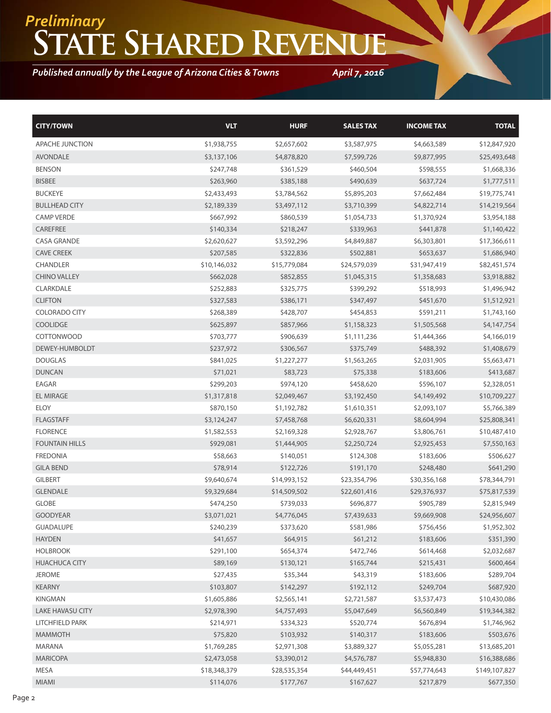# **State Shared Revenue** *Preliminary*

*Published annually by the League of Arizona Cities & Towns*

*April 7, 2016*

| <b>CITY/TOWN</b>        | <b>VLT</b>   | <b>HURF</b>  | <b>SALES TAX</b> | <b>INCOME TAX</b> | <b>TOTAL</b>  |
|-------------------------|--------------|--------------|------------------|-------------------|---------------|
| APACHE JUNCTION         | \$1,938,755  | \$2,657,602  | \$3,587,975      | \$4,663,589       | \$12,847,920  |
| <b>AVONDALE</b>         | \$3,137,106  | \$4,878,820  | \$7,599,726      | \$9,877,995       | \$25,493,648  |
| <b>BENSON</b>           | \$247,748    | \$361,529    | \$460,504        | \$598,555         | \$1,668,336   |
| <b>BISBEE</b>           | \$263,960    | \$385,188    | \$490,639        | \$637,724         | \$1,777,511   |
| <b>BUCKEYE</b>          | \$2,433,493  | \$3,784,562  | \$5,895,203      | \$7,662,484       | \$19,775,741  |
| <b>BULLHEAD CITY</b>    | \$2,189,339  | \$3,497,112  | \$3,710,399      | \$4,822,714       | \$14,219,564  |
| <b>CAMP VERDE</b>       | \$667,992    | \$860,539    | \$1,054,733      | \$1,370,924       | \$3,954,188   |
| CAREFREE                | \$140,334    | \$218,247    | \$339,963        | \$441,878         | \$1,140,422   |
| <b>CASA GRANDE</b>      | \$2,620,627  | \$3,592,296  | \$4,849,887      | \$6,303,801       | \$17,366,611  |
| <b>CAVE CREEK</b>       | \$207,585    | \$322,836    | \$502,881        | \$653,637         | \$1,686,940   |
| CHANDLER                | \$10,146,032 | \$15,779,084 | \$24,579,039     | \$31,947,419      | \$82,451,574  |
| <b>CHINO VALLEY</b>     | \$662,028    | \$852,855    | \$1,045,315      | \$1,358,683       | \$3,918,882   |
| CLARKDALE               | \$252,883    | \$325,775    | \$399,292        | \$518,993         | \$1,496,942   |
| <b>CLIFTON</b>          | \$327,583    | \$386,171    | \$347,497        | \$451,670         | \$1,512,921   |
| <b>COLORADO CITY</b>    | \$268,389    | \$428,707    | \$454,853        | \$591,211         | \$1,743,160   |
| <b>COOLIDGE</b>         | \$625,897    | \$857,966    | \$1,158,323      | \$1,505,568       | \$4,147,754   |
| <b>COTTONWOOD</b>       | \$703,777    | \$906,639    | \$1,111,236      | \$1,444,366       | \$4,166,019   |
| DEWEY-HUMBOLDT          | \$237,972    | \$306,567    | \$375,749        | \$488,392         | \$1,408,679   |
| <b>DOUGLAS</b>          | \$841,025    | \$1,227,277  | \$1,563,265      | \$2,031,905       | \$5,663,471   |
| <b>DUNCAN</b>           | \$71,021     | \$83,723     | \$75,338         | \$183,606         | \$413,687     |
| EAGAR                   | \$299,203    | \$974,120    | \$458,620        | \$596,107         | \$2,328,051   |
| <b>EL MIRAGE</b>        | \$1,317,818  | \$2,049,467  | \$3,192,450      | \$4,149,492       | \$10,709,227  |
| <b>ELOY</b>             | \$870,150    | \$1,192,782  | \$1,610,351      | \$2,093,107       | \$5,766,389   |
| <b>FLAGSTAFF</b>        | \$3,124,247  | \$7,458,768  | \$6,620,331      | \$8,604,994       | \$25,808,341  |
| <b>FLORENCE</b>         | \$1,582,553  | \$2,169,328  | \$2,928,767      | \$3,806,761       | \$10,487,410  |
| <b>FOUNTAIN HILLS</b>   | \$929,081    | \$1,444,905  | \$2,250,724      | \$2,925,453       | \$7,550,163   |
| <b>FREDONIA</b>         | \$58,663     | \$140,051    | \$124,308        | \$183,606         | \$506,627     |
| <b>GILA BEND</b>        | \$78,914     | \$122,726    | \$191,170        | \$248,480         | \$641,290     |
| <b>GILBERT</b>          | \$9,640,674  | \$14,993,152 | \$23,354,796     | \$30,356,168      | \$78,344,791  |
| <b>GLENDALE</b>         | \$9,329,684  | \$14,509,502 | \$22,601,416     | \$29,376,937      | \$75,817,539  |
| <b>GLOBE</b>            | \$474,250    | \$739,033    | \$696,877        | \$905,789         | \$2,815,949   |
| <b>GOODYEAR</b>         | \$3,071,021  | \$4,776,045  | \$7,439,633      | \$9,669,908       | \$24,956,607  |
| <b>GUADALUPE</b>        | \$240,239    | \$373,620    | \$581,986        | \$756,456         | \$1,952,302   |
| <b>HAYDEN</b>           | \$41,657     | \$64,915     | \$61,212         | \$183,606         | \$351,390     |
| <b>HOLBROOK</b>         | \$291,100    | \$654,374    | \$472,746        | \$614,468         | \$2,032,687   |
| <b>HUACHUCA CITY</b>    | \$89,169     | \$130,121    | \$165,744        | \$215,431         | \$600,464     |
| <b>JEROME</b>           | \$27,435     | \$35,344     | \$43,319         | \$183,606         | \$289,704     |
| <b>KEARNY</b>           | \$103,807    | \$142,297    | \$192,112        | \$249,704         | \$687,920     |
| KINGMAN                 | \$1,605,886  | \$2,565,141  | \$2,721,587      | \$3,537,473       | \$10,430,086  |
| <b>LAKE HAVASU CITY</b> | \$2,978,390  | \$4,757,493  | \$5,047,649      | \$6,560,849       | \$19,344,382  |
| LITCHFIELD PARK         | \$214,971    | \$334,323    | \$520,774        | \$676,894         | \$1,746,962   |
| <b>MAMMOTH</b>          | \$75,820     | \$103,932    | \$140,317        | \$183,606         | \$503,676     |
| MARANA                  | \$1,769,285  | \$2,971,308  | \$3,889,327      | \$5,055,281       | \$13,685,201  |
| <b>MARICOPA</b>         | \$2,473,058  | \$3,390,012  | \$4,576,787      | \$5,948,830       | \$16,388,686  |
| MESA                    | \$18,348,379 | \$28,535,354 | \$44,449,451     | \$57,774,643      | \$149,107,827 |
| MIAMI                   | \$114,076    | \$177,767    | \$167,627        | \$217,879         | \$677,350     |